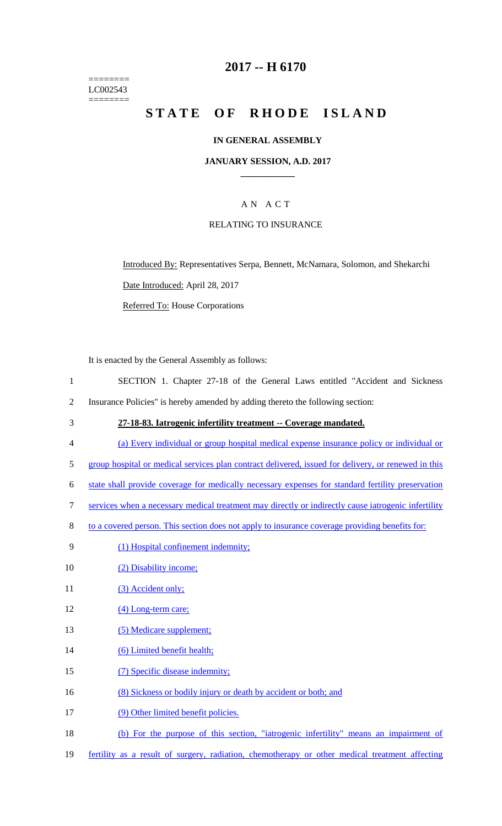======== LC002543 ========

## **2017 -- H 6170**

# **STATE OF RHODE ISLAND**

#### **IN GENERAL ASSEMBLY**

#### **JANUARY SESSION, A.D. 2017 \_\_\_\_\_\_\_\_\_\_\_\_**

## A N A C T

#### RELATING TO INSURANCE

Introduced By: Representatives Serpa, Bennett, McNamara, Solomon, and Shekarchi Date Introduced: April 28, 2017

Referred To: House Corporations

It is enacted by the General Assembly as follows:

- 1 SECTION 1. Chapter 27-18 of the General Laws entitled "Accident and Sickness 2 Insurance Policies" is hereby amended by adding thereto the following section:
- 3 **27-18-83. Iatrogenic infertility treatment -- Coverage mandated.**
- 4 (a) Every individual or group hospital medical expense insurance policy or individual or
- 5 group hospital or medical services plan contract delivered, issued for delivery, or renewed in this
- 6 state shall provide coverage for medically necessary expenses for standard fertility preservation
- 7 services when a necessary medical treatment may directly or indirectly cause iatrogenic infertility
- 8 to a covered person. This section does not apply to insurance coverage providing benefits for:
- 9 (1) Hospital confinement indemnity;
- 10 (2) Disability income;
- 11 (3) Accident only;
- 12 (4) Long-term care;
- 13 (5) Medicare supplement;
- 14 (6) Limited benefit health;
- 15 (7) Specific disease indemnity;
- 16 (8) Sickness or bodily injury or death by accident or both; and
- 17 (9) Other limited benefit policies.
- 18 (b) For the purpose of this section, "iatrogenic infertility" means an impairment of
- 19 fertility as a result of surgery, radiation, chemotherapy or other medical treatment affecting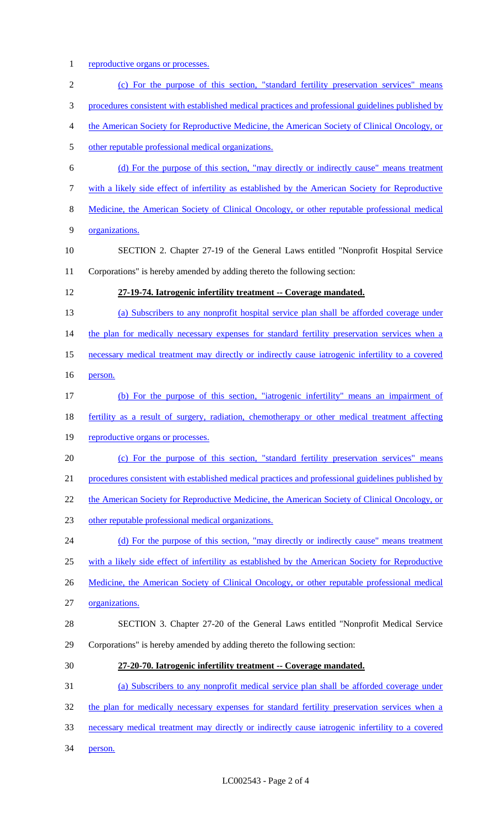1 reproductive organs or processes.

| $\mathbf{2}$     | (c) For the purpose of this section, "standard fertility preservation services" means             |
|------------------|---------------------------------------------------------------------------------------------------|
| 3                | procedures consistent with established medical practices and professional guidelines published by |
| $\overline{4}$   | the American Society for Reproductive Medicine, the American Society of Clinical Oncology, or     |
| 5                | other reputable professional medical organizations.                                               |
| 6                | (d) For the purpose of this section, "may directly or indirectly cause" means treatment           |
| $\boldsymbol{7}$ | with a likely side effect of infertility as established by the American Society for Reproductive  |
| $8\,$            | Medicine, the American Society of Clinical Oncology, or other reputable professional medical      |
| 9                | organizations.                                                                                    |
| 10               | SECTION 2. Chapter 27-19 of the General Laws entitled "Nonprofit Hospital Service                 |
| 11               | Corporations" is hereby amended by adding thereto the following section:                          |
| 12               | 27-19-74. Iatrogenic infertility treatment -- Coverage mandated.                                  |
| 13               | (a) Subscribers to any nonprofit hospital service plan shall be afforded coverage under           |
| 14               | the plan for medically necessary expenses for standard fertility preservation services when a     |
| 15               | necessary medical treatment may directly or indirectly cause iatrogenic infertility to a covered  |
| 16               | person.                                                                                           |
| 17               | (b) For the purpose of this section, "iatrogenic infertility" means an impairment of              |
| 18               | fertility as a result of surgery, radiation, chemotherapy or other medical treatment affecting    |
| 19               | reproductive organs or processes.                                                                 |
| 20               | (c) For the purpose of this section, "standard fertility preservation services" means             |
| 21               | procedures consistent with established medical practices and professional guidelines published by |
| 22               | the American Society for Reproductive Medicine, the American Society of Clinical Oncology, or     |
| 23               | other reputable professional medical organizations.                                               |
| 24               | (d) For the purpose of this section, "may directly or indirectly cause" means treatment           |
| 25               | with a likely side effect of infertility as established by the American Society for Reproductive  |
| 26               | Medicine, the American Society of Clinical Oncology, or other reputable professional medical      |
| 27               | organizations.                                                                                    |
| 28               | SECTION 3. Chapter 27-20 of the General Laws entitled "Nonprofit Medical Service                  |
| 29               | Corporations" is hereby amended by adding thereto the following section:                          |
| 30               | 27-20-70. Iatrogenic infertility treatment -- Coverage mandated.                                  |
| 31               | (a) Subscribers to any nonprofit medical service plan shall be afforded coverage under            |
| 32               | the plan for medically necessary expenses for standard fertility preservation services when a     |
| 33               | necessary medical treatment may directly or indirectly cause iatrogenic infertility to a covered  |
| 34               | person.                                                                                           |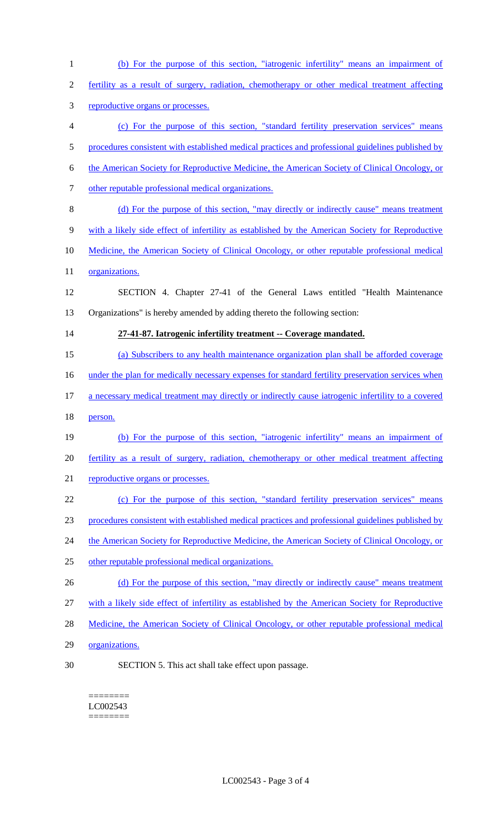(b) For the purpose of this section, "iatrogenic infertility" means an impairment of fertility as a result of surgery, radiation, chemotherapy or other medical treatment affecting reproductive organs or processes. (c) For the purpose of this section, "standard fertility preservation services" means 5 procedures consistent with established medical practices and professional guidelines published by the American Society for Reproductive Medicine, the American Society of Clinical Oncology, or other reputable professional medical organizations. (d) For the purpose of this section, "may directly or indirectly cause" means treatment with a likely side effect of infertility as established by the American Society for Reproductive Medicine, the American Society of Clinical Oncology, or other reputable professional medical 11 organizations. SECTION 4. Chapter 27-41 of the General Laws entitled "Health Maintenance Organizations" is hereby amended by adding thereto the following section: **27-41-87. Iatrogenic infertility treatment -- Coverage mandated.**  (a) Subscribers to any health maintenance organization plan shall be afforded coverage 16 under the plan for medically necessary expenses for standard fertility preservation services when 17 a necessary medical treatment may directly or indirectly cause iatrogenic infertility to a covered person. (b) For the purpose of this section, "iatrogenic infertility" means an impairment of fertility as a result of surgery, radiation, chemotherapy or other medical treatment affecting 21 reproductive organs or processes. (c) For the purpose of this section, "standard fertility preservation services" means procedures consistent with established medical practices and professional guidelines published by 24 the American Society for Reproductive Medicine, the American Society of Clinical Oncology, or other reputable professional medical organizations. 26 (d) For the purpose of this section, "may directly or indirectly cause" means treatment with a likely side effect of infertility as established by the American Society for Reproductive 28 Medicine, the American Society of Clinical Oncology, or other reputable professional medical organizations.

SECTION 5. This act shall take effect upon passage.

======== LC002543 ========